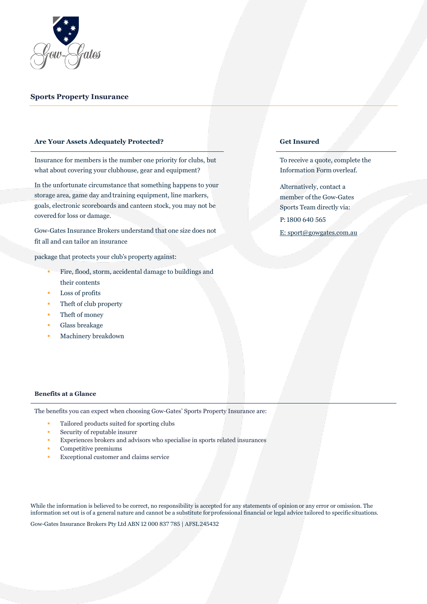

#### **Sports Property Insurance**

#### **Are Your Assets Adequately Protected? Get Insured**

Insurance for members is the number one priority for clubs, but what about covering your clubhouse, gear and equipment?

In the unfortunate circumstance that something happens to your storage area, game day andtraining equipment, line markers, goals, electronic scoreboards and canteen stock, you may not be covered for loss or damage.

Gow-Gates Insurance Brokers understand that one size does not fit all and can tailor an insurance

package that protects your club's property against:

- Fire, flood, storm, accidental damage to buildings and their contents
- Loss of profits
- Theft of club property
- Theft of money
- Glass breakage
- Machinery breakdown

To receive a quote, complete the Information Form overleaf.

Alternatively, contact a member of the Gow-Gates Sports Team directly via: P: 1800 640 565

E: sport@gowgates.com.au

#### **Benefits at a Glance**

The benefits you can expect when choosing Gow-Gates' Sports Property Insurance are:

- Tailored products suited for sporting clubs
- Security of reputable insurer
- Experiences brokers and advisors who specialise in sports related insurances
- Competitive premiums
- Exceptional customer and claims service

While the information is believed to be correct, no responsibility is accepted for any statements of opinion or any error or omission. The information set out is of a general nature and cannot be a substitute forprofessional financial or legal advice tailored to specific situations.

Gow-Gates Insurance Brokers Pty Ltd ABN 12 000 837 785 | AFSL245432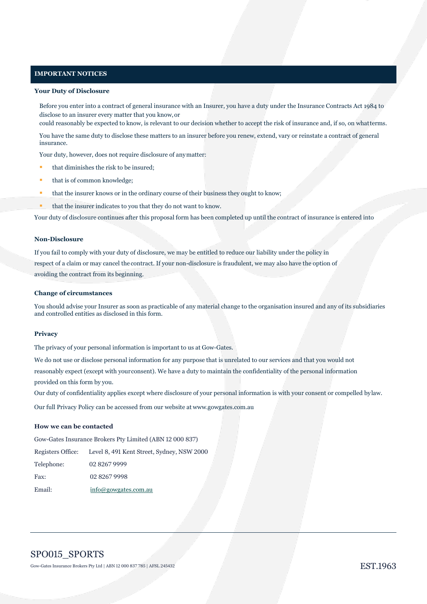#### **IMPORTANT NOTICES**

#### **Your Duty of Disclosure**

Before you enter into a contract of general insurance with an Insurer, you have a duty under the Insurance Contracts Act 1984 to disclose to an insurer every matter that you know,or

could reasonably be expected to know, is relevant to our decision whether to accept the risk of insurance and, if so, on whatterms.

You have the same duty to disclose these matters to an insurer before you renew, extend, vary or reinstate a contract of general insurance.

Your duty, however, does not require disclosure of anymatter:

- **that diminishes the risk to be insured;**
- **that is of common knowledge;**
- that the insurer knows or in the ordinary course of their business they ought to know;
- that the insurer indicates to you that they do not want to know.

Your duty of disclosure continues after this proposal form has been completed up until the contract of insurance is entered into

#### **Non-Disclosure**

If you fail to comply with your duty of disclosure, we may be entitled to reduce our liability under the policy in respect of a claim or may cancel the contract. If your non-disclosure is fraudulent, we may also have the option of avoiding the contract from its beginning.

#### **Change of circumstances**

You should advise your Insurer as soon as practicable of any material change to the organisation insured and any of its subsidiaries and controlled entities as disclosed in this form.

#### **Privacy**

The privacy of your personal information is important to us at Gow-Gates.

We do not use or disclose personal information for any purpose that is unrelated to our services and that you would not reasonably expect (except with yourconsent). We have a duty to maintain the confidentiality of the personal information provided on this form by you.

Our duty of confidentiality applies except where disclosure of your personal information is with your consent or compelled bylaw.

Our full Privacy Policy can be accessed from our website at www.gowgates.com.au

#### **How we can be contacted**

Gow-Gates Insurance Brokers Pty Limited (ABN 12 000 837)

Registers Office: Level 8, 491 Kent Street, Sydney, NSW 2000

| Telephone: | 02 8267 9999         |
|------------|----------------------|
| Fax:       | 02 8267 9998         |
| Email:     | info@gowgates.com.au |

# SPO015\_SPORTS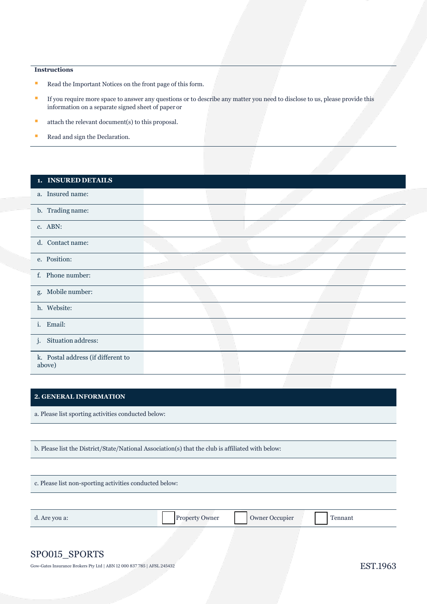## **Instructions**

- Read the Important Notices on the front page of this form.
- If you require more space to answer any questions or to describe any matter you need to disclose to us, please provide this information on a separate signed sheet of paper or
- $\blacksquare$  attach the relevant document(s) to this proposal.
- Read and sign the Declaration.

| 1. INSURED DETAILS                           |  |  |
|----------------------------------------------|--|--|
| a. Insured name:                             |  |  |
| b. Trading name:                             |  |  |
| c. ABN:                                      |  |  |
| d. Contact name:                             |  |  |
| e. Position:                                 |  |  |
| f. Phone number:                             |  |  |
| g. Mobile number:                            |  |  |
| h. Website:                                  |  |  |
| i. Email:                                    |  |  |
| j. Situation address:                        |  |  |
| k. Postal address (if different to<br>above) |  |  |

# **2. GENERAL INFORMATION**

a. Please list sporting activities conducted below:

b. Please list the District/State/National Association(s) that the club is affiliated with below:

c. Please list non-sporting activities conducted below:

| d. Are you a: | Property Owner | <b>Owner Occupier</b> | '`ennant<br>. . |  |
|---------------|----------------|-----------------------|-----------------|--|
|---------------|----------------|-----------------------|-----------------|--|

# SPO015\_SPORTS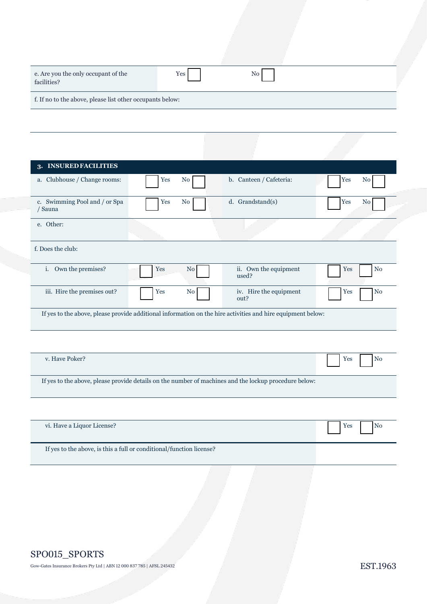| e. Are you the only occupant of the<br>facilities?        | Yes | No <sub>1</sub> |  |
|-----------------------------------------------------------|-----|-----------------|--|
| f. If no to the above, please list other occupants below: |     |                 |  |

| 3. INSURED FACILITIES                                                |           |                                                                                                             |                       |
|----------------------------------------------------------------------|-----------|-------------------------------------------------------------------------------------------------------------|-----------------------|
| a. Clubhouse / Change rooms:                                         | Yes<br>No | b. Canteen / Cafeteria:                                                                                     | Yes<br>N <sub>o</sub> |
| c. Swimming Pool and / or Spa<br>/ Sauna                             | Yes<br>No | d. Grandstand(s)                                                                                            | Yes<br>N <sub>0</sub> |
| e. Other:                                                            |           |                                                                                                             |                       |
| f. Does the club:                                                    |           |                                                                                                             |                       |
| i. Own the premises?                                                 | No<br>Yes | ii. Own the equipment<br>used?                                                                              | N <sub>o</sub><br>Yes |
| iii. Hire the premises out?                                          | Yes<br>No | iv. Hire the equipment<br>out?                                                                              | N <sub>o</sub><br>Yes |
|                                                                      |           | If yes to the above, please provide additional information on the hire activities and hire equipment below: |                       |
|                                                                      |           |                                                                                                             |                       |
| v. Have Poker?                                                       |           |                                                                                                             | No<br>Yes             |
|                                                                      |           | If yes to the above, please provide details on the number of machines and the lockup procedure below:       |                       |
|                                                                      |           |                                                                                                             |                       |
| vi. Have a Liquor License?                                           |           |                                                                                                             | N <sub>o</sub><br>Yes |
| If yes to the above, is this a full or conditional/function license? |           |                                                                                                             |                       |
|                                                                      |           |                                                                                                             |                       |

# SPO015\_SPORTS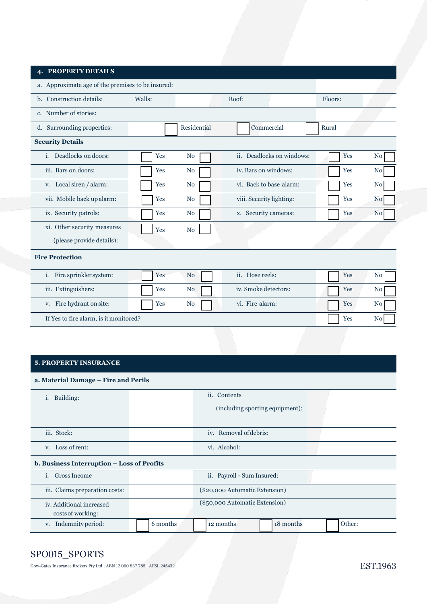## **4. PROPERTY DETAILS**

| a. Approximate age of the premises to be insured: |        |                |                          |                           |         |                |
|---------------------------------------------------|--------|----------------|--------------------------|---------------------------|---------|----------------|
| b. Construction details:                          | Walls: |                | Roof:                    |                           | Floors: |                |
| c. Number of stories:                             |        |                |                          |                           |         |                |
| d. Surrounding properties:                        |        | Residential    | Commercial               |                           | Rural   |                |
| <b>Security Details</b>                           |        |                |                          |                           |         |                |
| Deadlocks on doors:<br>i.                         | Yes    | N <sub>0</sub> |                          | ii. Deadlocks on windows: | Yes     | N <sub>0</sub> |
| iii. Bars on doors:                               | Yes    | N <sub>o</sub> | iv. Bars on windows:     |                           | Yes     | N <sub>0</sub> |
| v. Local siren / alarm:                           | Yes    | N <sub>o</sub> | vi. Back to base alarm:  |                           | Yes     | N <sub>0</sub> |
| vii. Mobile back up alarm:                        | Yes    | N <sub>0</sub> | viii. Security lighting: |                           | Yes     | N <sub>0</sub> |
| ix. Security patrols:                             | Yes    | N <sub>0</sub> | x. Security cameras:     |                           | Yes     | N <sub>o</sub> |
| xi. Other security measures                       | Yes    | No             |                          |                           |         |                |
| (please provide details):                         |        |                |                          |                           |         |                |
| <b>Fire Protection</b>                            |        |                |                          |                           |         |                |
| i. Fire sprinkler system:                         | Yes    | N <sub>0</sub> | ii. Hose reels:          |                           | Yes     | N <sub>0</sub> |
| iii. Extinguishers:                               | Yes    | N <sub>0</sub> | iv. Smoke detectors:     |                           | Yes     | N <sub>0</sub> |
| v. Fire hydrant on site:                          | Yes    | N <sub>0</sub> | vi. Fire alarm:          |                           | Yes     | N <sub>0</sub> |
| If Yes to fire alarm, is it monitored?            |        |                |                          |                           | Yes     | N <sub>0</sub> |

# **5. PROPERTY INSURANCE**

**a. Material Damage – Fire and Perils**

| Building:<br>1.                               | ii. Contents |                                 |           |        |  |
|-----------------------------------------------|--------------|---------------------------------|-----------|--------|--|
|                                               |              | (including sporting equipment): |           |        |  |
|                                               |              |                                 |           |        |  |
| iii. Stock:                                   |              | iv. Removal of debris:          |           |        |  |
| v. Loss of rent:                              |              | vi. Alcohol:                    |           |        |  |
| b. Business Interruption - Loss of Profits    |              |                                 |           |        |  |
| <b>Gross Income</b><br>Ť.                     |              | ii. Payroll - Sum Insured:      |           |        |  |
| iii. Claims preparation costs:                |              | (\$20,000 Automatic Extension)  |           |        |  |
| iv. Additional increased<br>costs of working: |              | (\$50,000 Automatic Extension)  |           |        |  |
| v. Indemnity period:                          | 6 months     | 12 months                       | 18 months | Other: |  |

# SPO015\_SPORTS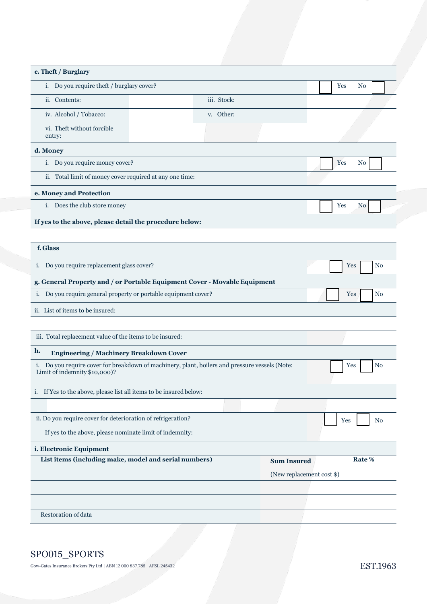|  | c. Theft / Burglary |
|--|---------------------|
|--|---------------------|

| t. Hith / Dui gial y                                                                                                            |             |                           |                       |
|---------------------------------------------------------------------------------------------------------------------------------|-------------|---------------------------|-----------------------|
| i. Do you require theft / burglary cover?                                                                                       |             |                           | Yes<br>N <sub>0</sub> |
| ii. Contents:                                                                                                                   | iii. Stock: |                           |                       |
| iv. Alcohol / Tobacco:                                                                                                          | v. Other:   |                           |                       |
| vi. Theft without forcible<br>entry:                                                                                            |             |                           |                       |
| d. Money                                                                                                                        |             |                           |                       |
| i. Do you require money cover?                                                                                                  |             |                           | No<br>Yes             |
| ii. Total limit of money cover required at any one time:                                                                        |             |                           |                       |
| e. Money and Protection                                                                                                         |             |                           |                       |
| i. Does the club store money                                                                                                    |             |                           | No<br>Yes             |
| If yes to the above, please detail the procedure below:                                                                         |             |                           |                       |
|                                                                                                                                 |             |                           |                       |
| f. Glass                                                                                                                        |             |                           |                       |
| i. Do you require replacement glass cover?                                                                                      |             |                           | No<br>Yes             |
| g. General Property and / or Portable Equipment Cover - Movable Equipment                                                       |             |                           |                       |
| i. Do you require general property or portable equipment cover?                                                                 |             |                           | N <sub>o</sub><br>Yes |
| ii. List of items to be insured:                                                                                                |             |                           |                       |
| iii. Total replacement value of the items to be insured:                                                                        |             |                           |                       |
| h.<br><b>Engineering / Machinery Breakdown Cover</b>                                                                            |             |                           |                       |
| i. Do you require cover for breakdown of machinery, plant, boilers and pressure vessels (Note:<br>Limit of indemnity \$10,000)? |             |                           | N <sub>o</sub><br>Yes |
| i. If Yes to the above, please list all items to be insured below:                                                              |             |                           |                       |
|                                                                                                                                 |             |                           |                       |
| ii. Do you require cover for deterioration of refrigeration?                                                                    |             |                           | Yes<br>N <sub>0</sub> |
| If yes to the above, please nominate limit of indemnity:                                                                        |             |                           |                       |
| i. Electronic Equipment                                                                                                         |             |                           |                       |
| List items (including make, model and serial numbers)                                                                           |             | <b>Sum Insured</b>        | Rate %                |
|                                                                                                                                 |             | (New replacement cost \$) |                       |
|                                                                                                                                 |             |                           |                       |
|                                                                                                                                 |             |                           |                       |
| Restoration of data                                                                                                             |             |                           |                       |
|                                                                                                                                 |             |                           |                       |

# SPO015\_SPORTS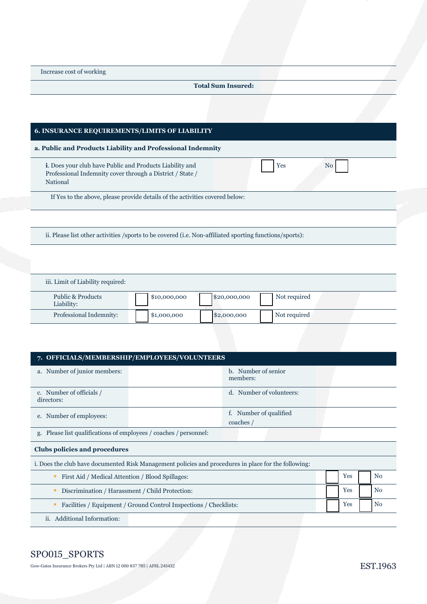Increase cost of working

#### **Total Sum Insured:**

Yes No

#### **6. INSURANCE REQUIREMENTS/LIMITS OF LIABILITY**

**a. Public and Products Liability and Professional Indemnity**

**i**. Does your club have Public and Products Liability and Professional Indemnity cover through a District / State / National

If Yes to the above, please provide details of the activities covered below:

ii. Please list other activities /sports to be covered (i.e. Non-affiliated sporting functions/sports):

iii. Limit of Liability required:

| Public & Products<br>Liability: | \$10,000,000 | \$20,000,000 | Not required |  |
|---------------------------------|--------------|--------------|--------------|--|
| Professional Indemnity:         | \$1,000,000  | \$2,000,000  | Not required |  |

## **7. OFFICIALS/MEMBERSHIP/EMPLOYEES/VOLUNTEERS**

| a. Number of junior members:                                                                         | b. Number of senior<br>members:     |  |     |  |    |
|------------------------------------------------------------------------------------------------------|-------------------------------------|--|-----|--|----|
| c. Number of officials /<br>directors:                                                               | d. Number of volunteers:            |  |     |  |    |
| e. Number of employees:                                                                              | f. Number of qualified<br>coaches / |  |     |  |    |
| g. Please list qualifications of employees / coaches / personnel:                                    |                                     |  |     |  |    |
| Clubs policies and procedures                                                                        |                                     |  |     |  |    |
| i. Does the club have documented Risk Management policies and procedures in place for the following: |                                     |  |     |  |    |
| First Aid / Medical Attention / Blood Spillages:<br>п                                                |                                     |  | Yes |  | No |
| Discrimination / Harassment / Child Protection:                                                      |                                     |  | Yes |  | No |

- Facilities / Equipment / Ground Control Inspections / Checklists: No
- ii. Additional Information:

# SPO015\_SPORTS